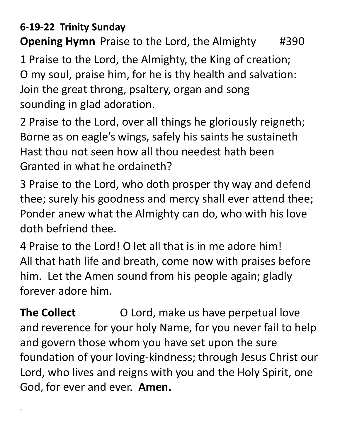#### **6-19-22 Trinity Sunday**

**Opening Hymn** Praise to the Lord, the Almighty #390

1 Praise to the Lord, the Almighty, the King of creation; O my soul, praise him, for he is thy health and salvation: Join the great throng, psaltery, organ and song sounding in glad adoration.

2 Praise to the Lord, over all things he gloriously reigneth; Borne as on eagle's wings, safely his saints he sustaineth Hast thou not seen how all thou needest hath been Granted in what he ordaineth?

3 Praise to the Lord, who doth prosper thy way and defend thee; surely his goodness and mercy shall ever attend thee; Ponder anew what the Almighty can do, who with his love doth befriend thee.

4 Praise to the Lord! O let all that is in me adore him! All that hath life and breath, come now with praises before him. Let the Amen sound from his people again; gladly forever adore him.

**The Collect** O Lord, make us have perpetual love and reverence for your holy Name, for you never fail to help and govern those whom you have set upon the sure foundation of your loving-kindness; through Jesus Christ our Lord, who lives and reigns with you and the Holy Spirit, one God, for ever and ever. **Amen.**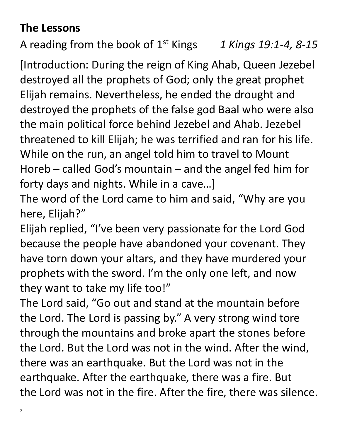### **The Lessons**

A reading from the book of 1st Kings *1 Kings 19:1-4, 8-15*

[Introduction: During the reign of King Ahab, Queen Jezebel destroyed all the prophets of God; only the great prophet Elijah remains. Nevertheless, he ended the drought and destroyed the prophets of the false god Baal who were also the main political force behind Jezebel and Ahab. Jezebel threatened to kill Elijah; he was terrified and ran for his life. While on the run, an angel told him to travel to Mount Horeb – called God's mountain – and the angel fed him for forty days and nights. While in a cave…]

The word of the Lord came to him and said, "Why are you here, Elijah?"

Elijah replied, "I've been very passionate for the Lord God because the people have abandoned your covenant. They have torn down your altars, and they have murdered your prophets with the sword. I'm the only one left, and now they want to take my life too!"

The Lord said, "Go out and stand at the mountain before the Lord. The Lord is passing by." A very strong wind tore through the mountains and broke apart the stones before the Lord. But the Lord was not in the wind. After the wind, there was an earthquake. But the Lord was not in the earthquake. After the earthquake, there was a fire. But the Lord was not in the fire. After the fire, there was silence.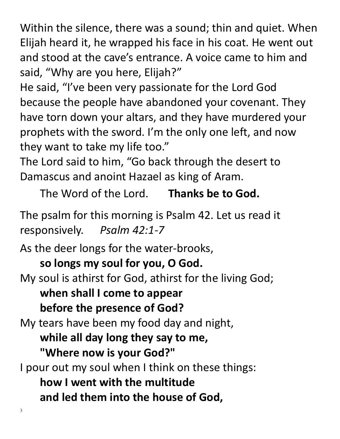Within the silence, there was a sound; thin and quiet. When Elijah heard it, he wrapped his face in his coat. He went out and stood at the cave's entrance. A voice came to him and said, "Why are you here, Elijah?"

He said, "I've been very passionate for the Lord God because the people have abandoned your covenant. They have torn down your altars, and they have murdered your prophets with the sword. I'm the only one left, and now they want to take my life too."

The Lord said to him, "Go back through the desert to Damascus and anoint Hazael as king of Aram.

The Word of the Lord. **Thanks be to God.**

The psalm for this morning is Psalm 42. Let us read it responsively. *Psalm 42:1-7*

As the deer longs for the water-brooks, **so longs my soul for you, O God.** My soul is athirst for God, athirst for the living God; **when shall I come to appear before the presence of God?** My tears have been my food day and night, **while all day long they say to me, "Where now is your God?"** I pour out my soul when I think on these things: **how I went with the multitude** 

**and led them into the house of God,**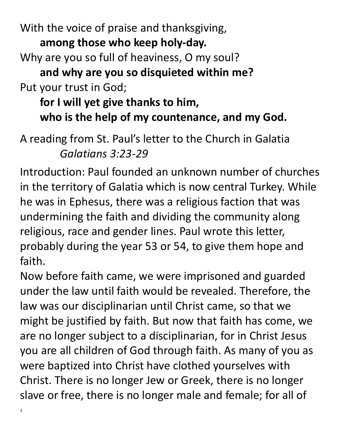With the voice of praise and thanksgiving, **among those who keep holy-day.** Why are you so full of heaviness, O my soul? **and why are you so disquieted within me?** Put your trust in God;

## **for I will yet give thanks to him, who is the help of my countenance, and my God.**

A reading from St. Paul's letter to the Church in Galatia *Galatians 3:23-29*

Introduction: Paul founded an unknown number of churches in the territory of Galatia which is now central Turkey. While he was in Ephesus, there was a religious faction that was undermining the faith and dividing the community along religious, race and gender lines. Paul wrote this letter, probably during the year 53 or 54, to give them hope and faith.

Now before faith came, we were imprisoned and guarded under the law until faith would be revealed. Therefore, the law was our disciplinarian until Christ came, so that we might be justified by faith. But now that faith has come, we are no longer subject to a disciplinarian, for in Christ Jesus you are all children of God through faith. As many of you as were baptized into Christ have clothed yourselves with Christ. There is no longer Jew or Greek, there is no longer slave or free, there is no longer male and female; for all of

4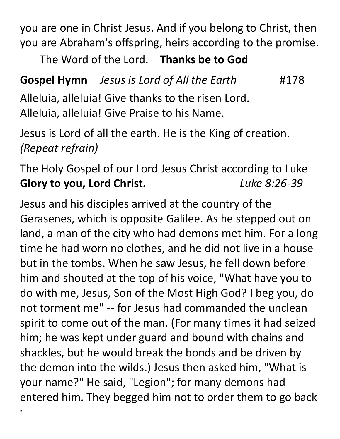you are one in Christ Jesus. And if you belong to Christ, then you are Abraham's offspring, heirs according to the promise.

The Word of the Lord. **Thanks be to God**

# **Gospel Hymn** *Jesus is Lord of All the Earth* #178 Alleluia, alleluia! Give thanks to the risen Lord.

Alleluia, alleluia! Give Praise to his Name.

Jesus is Lord of all the earth. He is the King of creation. *(Repeat refrain)*

## The Holy Gospel of our Lord Jesus Christ according to Luke **Glory to you, Lord Christ.** *Luke 8:26-39*

5 Jesus and his disciples arrived at the country of the Gerasenes, which is opposite Galilee. As he stepped out on land, a man of the city who had demons met him. For a long time he had worn no clothes, and he did not live in a house but in the tombs. When he saw Jesus, he fell down before him and shouted at the top of his voice, "What have you to do with me, Jesus, Son of the Most High God? I beg you, do not torment me" -- for Jesus had commanded the unclean spirit to come out of the man. (For many times it had seized him; he was kept under guard and bound with chains and shackles, but he would break the bonds and be driven by the demon into the wilds.) Jesus then asked him, "What is your name?" He said, "Legion"; for many demons had entered him. They begged him not to order them to go back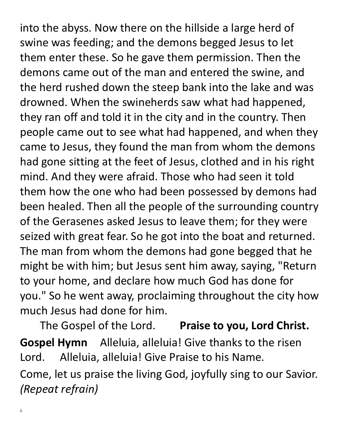into the abyss. Now there on the hillside a large herd of swine was feeding; and the demons begged Jesus to let them enter these. So he gave them permission. Then the demons came out of the man and entered the swine, and the herd rushed down the steep bank into the lake and was drowned. When the swineherds saw what had happened, they ran off and told it in the city and in the country. Then people came out to see what had happened, and when they came to Jesus, they found the man from whom the demons had gone sitting at the feet of Jesus, clothed and in his right mind. And they were afraid. Those who had seen it told them how the one who had been possessed by demons had been healed. Then all the people of the surrounding country of the Gerasenes asked Jesus to leave them; for they were seized with great fear. So he got into the boat and returned. The man from whom the demons had gone begged that he might be with him; but Jesus sent him away, saying, "Return to your home, and declare how much God has done for you." So he went away, proclaiming throughout the city how much Jesus had done for him.

The Gospel of the Lord. **Praise to you, Lord Christ. Gospel Hymn** Alleluia, alleluia! Give thanks to the risen Lord. Alleluia, alleluia! Give Praise to his Name. Come, let us praise the living God, joyfully sing to our Savior. *(Repeat refrain)*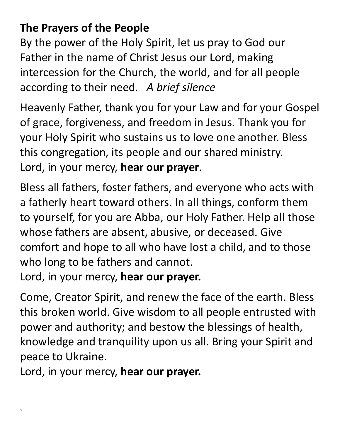### **The Prayers of the People**

By the power of the Holy Spirit, let us pray to God our Father in the name of Christ Jesus our Lord, making intercession for the Church, the world, and for all people according to their need. *A brief silence*

Heavenly Father, thank you for your Law and for your Gospel of grace, forgiveness, and freedom in Jesus. Thank you for your Holy Spirit who sustains us to love one another. Bless this congregation, its people and our shared ministry. Lord, in your mercy, **hear our prayer**.

Bless all fathers, foster fathers, and everyone who acts with a fatherly heart toward others. In all things, conform them to yourself, for you are Abba, our Holy Father. Help all those whose fathers are absent, abusive, or deceased. Give comfort and hope to all who have lost a child, and to those who long to be fathers and cannot.

Lord, in your mercy, **hear our prayer.**

Come, Creator Spirit, and renew the face of the earth. Bless this broken world. Give wisdom to all people entrusted with power and authority; and bestow the blessings of health, knowledge and tranquility upon us all. Bring your Spirit and peace to Ukraine.

Lord, in your mercy, **hear our prayer.**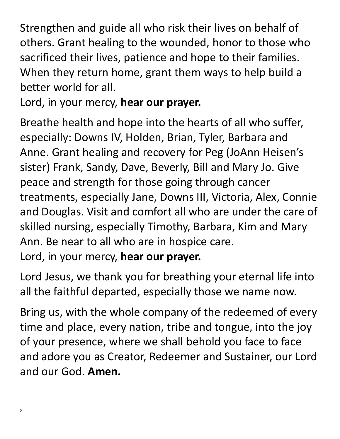Strengthen and guide all who risk their lives on behalf of others. Grant healing to the wounded, honor to those who sacrificed their lives, patience and hope to their families. When they return home, grant them ways to help build a better world for all.

Lord, in your mercy, **hear our prayer.**

Breathe health and hope into the hearts of all who suffer, especially: Downs IV, Holden, Brian, Tyler, Barbara and Anne. Grant healing and recovery for Peg (JoAnn Heisen's sister) Frank, Sandy, Dave, Beverly, Bill and Mary Jo. Give peace and strength for those going through cancer treatments, especially Jane, Downs III, Victoria, Alex, Connie and Douglas. Visit and comfort all who are under the care of skilled nursing, especially Timothy, Barbara, Kim and Mary Ann. Be near to all who are in hospice care. Lord, in your mercy, **hear our prayer.**

Lord Jesus, we thank you for breathing your eternal life into all the faithful departed, especially those we name now.

Bring us, with the whole company of the redeemed of every time and place, every nation, tribe and tongue, into the joy of your presence, where we shall behold you face to face and adore you as Creator, Redeemer and Sustainer, our Lord and our God. **Amen.**